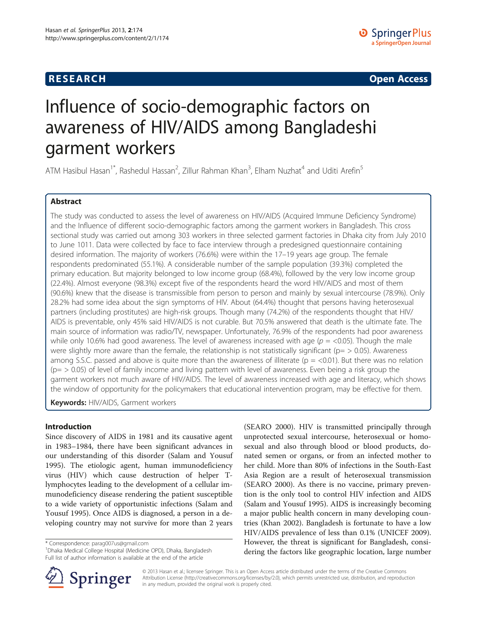# **RESEARCH RESEARCH CONSUMING ACCESS**

# Influence of socio-demographic factors on awareness of HIV/AIDS among Bangladeshi garment workers

ATM Hasibul Hasan<sup>1\*</sup>, Rashedul Hassan<sup>2</sup>, Zillur Rahman Khan<sup>3</sup>, Elham Nuzhat<sup>4</sup> and Uditi Arefin<sup>5</sup>

# Abstract

The study was conducted to assess the level of awareness on HIV/AIDS (Acquired Immune Deficiency Syndrome) and the Influence of different socio-demographic factors among the garment workers in Bangladesh. This cross sectional study was carried out among 303 workers in three selected garment factories in Dhaka city from July 2010 to June 1011. Data were collected by face to face interview through a predesigned questionnaire containing desired information. The majority of workers (76.6%) were within the 17–19 years age group. The female respondents predominated (55.1%). A considerable number of the sample population (39.3%) completed the primary education. But majority belonged to low income group (68.4%), followed by the very low income group (22.4%). Almost everyone (98.3%) except five of the respondents heard the word HIV/AIDS and most of them (90.6%) knew that the disease is transmissible from person to person and mainly by sexual intercourse (78.9%). Only 28.2% had some idea about the sign symptoms of HIV. About (64.4%) thought that persons having heterosexual partners (including prostitutes) are high-risk groups. Though many (74.2%) of the respondents thought that HIV/ AIDS is preventable, only 45% said HIV/AIDS is not curable. But 70.5% answered that death is the ultimate fate. The main source of information was radio/TV, newspaper. Unfortunately, 76.9% of the respondents had poor awareness while only 10.6% had good awareness. The level of awareness increased with age ( $p =$  <0.05). Though the male were slightly more aware than the female, the relationship is not statistically significant ( $p = > 0.05$ ). Awareness among S.S.C. passed and above is quite more than the awareness of illiterate ( $p = < 0.01$ ). But there was no relation  $(p = > 0.05)$  of level of family income and living pattern with level of awareness. Even being a risk group the garment workers not much aware of HIV/AIDS. The level of awareness increased with age and literacy, which shows the window of opportunity for the policymakers that educational intervention program, may be effective for them.

Keywords: HIV/AIDS, Garment workers

#### Introduction

Since discovery of AIDS in 1981 and its causative agent in 1983–1984, there have been significant advances in our understanding of this disorder (Salam and Yousuf [1995](#page-6-0)). The etiologic agent, human immunodeficiency virus (HIV) which cause destruction of helper Tlymphocytes leading to the development of a cellular immunodeficiency disease rendering the patient susceptible to a wide variety of opportunistic infections (Salam and Yousuf [1995\)](#page-6-0). Once AIDS is diagnosed, a person in a developing country may not survive for more than 2 years

\* Correspondence: [parag007us@gmail.com](mailto:parag007us@gmail.com) <sup>1</sup>

<sup>1</sup> Dhaka Medical College Hospital (Medicine OPD), Dhaka, Bangladesh Full list of author information is available at the end of the article





© 2013 Hasan et al.; licensee Springer. This is an Open Access article distributed under the terms of the Creative Commons Attribution License [\(http://creativecommons.org/licenses/by/2.0\)](http://creativecommons.org/licenses/by/2.0), which permits unrestricted use, distribution, and reproduction in any medium, provided the original work is properly cited.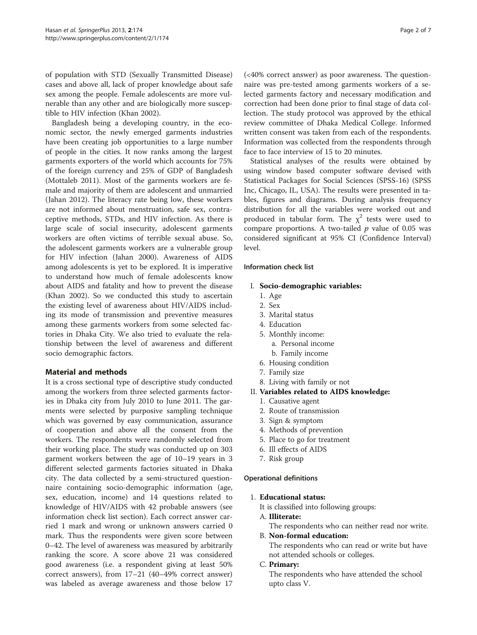of population with STD (Sexually Transmitted Disease) cases and above all, lack of proper knowledge about safe sex among the people. Female adolescents are more vulnerable than any other and are biologically more susceptible to HIV infection (Khan [2002\)](#page-6-0).

Bangladesh being a developing country, in the economic sector, the newly emerged garments industries have been creating job opportunities to a large number of people in the cities. It now ranks among the largest garments exporters of the world which accounts for 75% of the foreign currency and 25% of GDP of Bangladesh (Mottaleb [2011\)](#page-6-0). Most of the garments workers are female and majority of them are adolescent and unmarried (Jahan [2012](#page-6-0)). The literacy rate being low, these workers are not informed about menstruation, safe sex, contraceptive methods, STDs, and HIV infection. As there is large scale of social insecurity, adolescent garments workers are often victims of terrible sexual abuse. So, the adolescent garments workers are a vulnerable group for HIV infection (Jahan [2000\)](#page-6-0). Awareness of AIDS among adolescents is yet to be explored. It is imperative to understand how much of female adolescents know about AIDS and fatality and how to prevent the disease (Khan [2002](#page-6-0)). So we conducted this study to ascertain the existing level of awareness about HIV/AIDS including its mode of transmission and preventive measures among these garments workers from some selected factories in Dhaka City. We also tried to evaluate the relationship between the level of awareness and different socio demographic factors.

#### Material and methods

It is a cross sectional type of descriptive study conducted among the workers from three selected garments factories in Dhaka city from July 2010 to June 2011. The garments were selected by purposive sampling technique which was governed by easy communication, assurance of cooperation and above all the consent from the workers. The respondents were randomly selected from their working place. The study was conducted up on 303 garment workers between the age of 10–19 years in 3 different selected garments factories situated in Dhaka city. The data collected by a semi-structured questionnaire containing socio-demographic information (age, sex, education, income) and 14 questions related to knowledge of HIV/AIDS with 42 probable answers (see information check list section). Each correct answer carried 1 mark and wrong or unknown answers carried 0 mark. Thus the respondents were given score between 0–42. The level of awareness was measured by arbitrarily ranking the score. A score above 21 was considered good awareness (i.e. a respondent giving at least 50% correct answers), from 17–21 (40–49% correct answer) was labeled as average awareness and those below 17 (<40% correct answer) as poor awareness. The questionnaire was pre-tested among garments workers of a selected garments factory and necessary modification and correction had been done prior to final stage of data collection. The study protocol was approved by the ethical review committee of Dhaka Medical College. Informed written consent was taken from each of the respondents. Information was collected from the respondents through face to face interview of 15 to 20 minutes.

Statistical analyses of the results were obtained by using window based computer software devised with Statistical Packages for Social Sciences (SPSS-16) (SPSS Inc, Chicago, IL, USA). The results were presented in tables, figures and diagrams. During analysis frequency distribution for all the variables were worked out and produced in tabular form. The  $\chi^2$  tests were used to compare proportions. A two-tailed  $p$  value of 0.05 was considered significant at 95% CI (Confidence Interval) level.

#### Information check list

#### I. Socio-demographic variables:

- 1. Age
- 2. Sex
- 3. Marital status
- 4. Education
- 5. Monthly income:
	- a. Personal income
	- b. Family income
- 6. Housing condition
- 7. Family size
- 8. Living with family or not
- II. Variables related to AIDS knowledge:
	- 1. Causative agent
	- 2. Route of transmission
	- 3. Sign & symptom
	- 4. Methods of prevention
	- 5. Place to go for treatment
	- 6. Ill effects of AIDS
	- 7. Risk group

Operational definitions

1. Educational status:

- It is classified into following groups:
- A. Illiterate:

The respondents who can neither read nor write.

B. Non-formal education:

The respondents who can read or write but have not attended schools or colleges.

# C. Primary:

The respondents who have attended the school upto class V.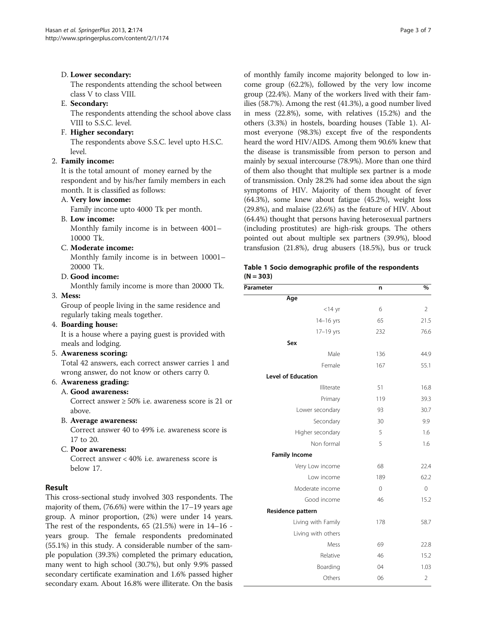# D. Lower secondary:

The respondents attending the school between class V to class VIII.

# E. Secondary:

The respondents attending the school above class VIII to S.S.C. level.

#### F. Higher secondary:

The respondents above S.S.C. level upto H.S.C. level.

# 2. Family income:

It is the total amount of money earned by the respondent and by his/her family members in each month. It is classified as follows:

# A. Very low income:

Family income upto 4000 Tk per month.

#### B. Low income:

Monthly family income is in between 4001– 10000 Tk.

#### C. Moderate income:

Monthly family income is in between 10001– 20000 Tk.

#### D. Good income:

Monthly family income is more than 20000 Tk.

# 3. Mess:

Group of people living in the same residence and regularly taking meals together.

#### 4. Boarding house:

It is a house where a paying guest is provided with meals and lodging.

#### 5. Awareness scoring:

Total 42 answers, each correct answer carries 1 and wrong answer, do not know or others carry 0.

# 6. Awareness grading:

A. Good awareness:

Correct answer ≥ 50% i.e. awareness score is 21 or above.

B. Average awareness:

Correct answer 40 to 49% i.e. awareness score is 17 to 20.

C. Poor awareness: Correct answer < 40% i.e. awareness score is below 17.

#### Result

This cross-sectional study involved 303 respondents. The majority of them, (76.6%) were within the 17–19 years age group. A minor proportion, (2%) were under 14 years. The rest of the respondents,  $65$  (21.5%) were in 14–16 years group. The female respondents predominated (55.1%) in this study. A considerable number of the sample population (39.3%) completed the primary education, many went to high school (30.7%), but only 9.9% passed secondary certificate examination and 1.6% passed higher secondary exam. About 16.8% were illiterate. On the basis of monthly family income majority belonged to low income group (62.2%), followed by the very low income group (22.4%). Many of the workers lived with their families (58.7%). Among the rest (41.3%), a good number lived in mess (22.8%), some, with relatives (15.2%) and the others (3.3%) in hostels, boarding houses (Table 1). Almost everyone (98.3%) except five of the respondents heard the word HIV/AIDS. Among them 90.6% knew that the disease is transmissible from person to person and mainly by sexual intercourse (78.9%). More than one third of them also thought that multiple sex partner is a mode of transmission. Only 28.2% had some idea about the sign symptoms of HIV. Majority of them thought of fever (64.3%), some knew about fatigue (45.2%), weight loss (29.8%), and malaise (22.6%) as the feature of HIV. About (64.4%) thought that persons having heterosexual partners (including prostitutes) are high-risk groups. The others pointed out about multiple sex partners (39.9%), blood transfusion (21.8%), drug abusers (18.5%), bus or truck

#### Table 1 Socio demographic profile of the respondents  $(N = 303)$

| Parameter                 | n            | %              |
|---------------------------|--------------|----------------|
| Age                       |              |                |
| $<$ 14 yr                 | 6            | $\overline{2}$ |
| $14-16$ yrs               | 65           | 21.5           |
| 17-19 yrs                 | 232          | 76.6           |
| Sex                       |              |                |
| Male                      | 136          | 44.9           |
| Female                    | 167          | 55.1           |
| <b>Level of Education</b> |              |                |
| Illiterate                | 51           | 16.8           |
| Primary                   | 119          | 39.3           |
| Lower secondary           | 93           | 30.7           |
| Secondary                 | 30           | 9.9            |
| Higher secondary          | 5            | 1.6            |
| Non formal                | 5            | 1.6            |
| <b>Family Income</b>      |              |                |
| Very Low income           | 68           | 22.4           |
| Low income                | 189          | 62.2           |
| Moderate income           | $\mathbf{0}$ | $\mathbf 0$    |
| Good income               | 46           | 15.2           |
| Residence pattern         |              |                |
| Living with Family        | 178          | 58.7           |
| Living with others        |              |                |
| Mess                      | 69           | 22.8           |
| Relative                  | 46           | 15.2           |
| Boarding                  | 04           | 1.03           |
| Others                    | 06           | $\overline{2}$ |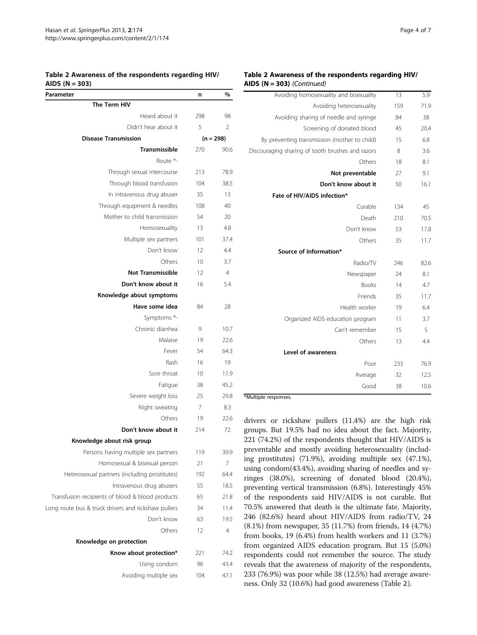#### Table 2 Awareness of the respondents regarding HIV/ AIDS  $(N = 303)$

| יון כעות<br>וכטכי                                   |     |             |
|-----------------------------------------------------|-----|-------------|
| Parameter                                           | n   | $\%$        |
| The Term HIV                                        |     |             |
| Heard about it                                      | 298 | 98          |
| Didn't hear about it                                | 5   | 2           |
| <b>Disease Transmission</b>                         |     | $(n = 298)$ |
| <b>Transmissible</b>                                | 270 | 90.6        |
| Route *-                                            |     |             |
| Through sexual intercourse                          | 213 | 78.9        |
| Through blood transfusion                           | 104 | 38.5        |
| In intravenous drug abuser                          | 35  | 13          |
| Through equipment & needles                         | 108 | 40          |
| Mother to child transmission                        | 54  | 20          |
| Homosexuality                                       | 13  | 4.8         |
| Multiple sex partners                               | 101 | 37.4        |
| Don't know                                          | 12  | 4.4         |
| Others                                              | 10  | 3.7         |
| <b>Not Transmissible</b>                            | 12  | 4           |
| Don't know about it                                 | 16  | 5.4         |
| Knowledge about symptoms                            |     |             |
| Have some idea                                      | 84  | 28          |
| Symptoms *-                                         |     |             |
| Chronic diarrhea                                    | 9   | 10.7        |
| Malaise                                             | 19  | 22.6        |
| Fever                                               | 54  | 64.3        |
| Rash                                                | 16  | 19          |
| Sore throat                                         | 10  | 11.9        |
| Fatigue                                             | 38  | 45.2        |
| Severe weight loss                                  | 25  | 29.8        |
| Night sweating                                      | 7   | 8.3         |
| Others                                              | 19  | 22.6        |
| Don't know about it                                 | 214 | 72          |
| Knowledge about risk group                          |     |             |
| Persons having multiple sex partners                | 119 | 39.9        |
| Homosexual & bisexual person                        | 21  | 7           |
| Heterosexual partners (including prostitutes)       | 192 | 64.4        |
| Intravenous drug abusers                            | 55  | 18.5        |
| Transfusion recipients of blood & blood products    | 65  | 21.8        |
| Long route bus & truck drivers and rickshaw pullers | 34  | 11.4        |
| Don't know                                          | 63  | 19.5        |
| Others                                              | 12  | 4           |
| Knowledge on protection                             |     |             |
| Know about protection*                              | 221 | 74.2        |
| Using condom                                        | 96  | 43.4        |
| Avoiding multiple sex                               | 104 | 47.1        |
|                                                     |     |             |

#### Table 2 Awareness of the respondents regarding HIV/ AIDS  $(N = 303)$  (Continued)

| Avoiding heterosexuality<br>71.9<br>159<br>Avoiding sharing of needle and syringe<br>84<br>38<br>Screening of donated blood<br>45<br>20.4<br>By preventing transmission (mother to child)<br>15<br>6.8<br>Discouraging sharing of tooth brushes and razors<br>8<br>3.6<br>Others<br>18<br>8.1<br>Not preventable<br>9.1<br>27<br>Don't know about it<br>16.1<br>50<br>Fate of HIV/AIDS infection*<br>Curable<br>45<br>134<br>Death<br>70.5<br>210<br>Don't know<br>53<br>17.8<br>Others<br>11.7<br>35<br>Source of Information*<br>Radio/TV<br>246<br>82.6<br>Newspaper<br>8.1<br>24<br><b>Books</b><br>4.7<br>14<br>Friends<br>11.7<br>35<br>Health worker<br>19<br>6.4<br>3.7<br>Organized AIDS education program<br>11<br>Can't remember<br>5<br>15<br>Others<br>4.4<br>13<br><b>Level of awareness</b><br>Poor<br>233<br>76.9<br>12.5<br>Average<br>32<br>Good<br>10.6<br>38 | Avoiding homosexuality and bisexuality | 13 | 5.9 |
|----------------------------------------------------------------------------------------------------------------------------------------------------------------------------------------------------------------------------------------------------------------------------------------------------------------------------------------------------------------------------------------------------------------------------------------------------------------------------------------------------------------------------------------------------------------------------------------------------------------------------------------------------------------------------------------------------------------------------------------------------------------------------------------------------------------------------------------------------------------------------------|----------------------------------------|----|-----|
|                                                                                                                                                                                                                                                                                                                                                                                                                                                                                                                                                                                                                                                                                                                                                                                                                                                                                  |                                        |    |     |
|                                                                                                                                                                                                                                                                                                                                                                                                                                                                                                                                                                                                                                                                                                                                                                                                                                                                                  |                                        |    |     |
|                                                                                                                                                                                                                                                                                                                                                                                                                                                                                                                                                                                                                                                                                                                                                                                                                                                                                  |                                        |    |     |
|                                                                                                                                                                                                                                                                                                                                                                                                                                                                                                                                                                                                                                                                                                                                                                                                                                                                                  |                                        |    |     |
|                                                                                                                                                                                                                                                                                                                                                                                                                                                                                                                                                                                                                                                                                                                                                                                                                                                                                  |                                        |    |     |
|                                                                                                                                                                                                                                                                                                                                                                                                                                                                                                                                                                                                                                                                                                                                                                                                                                                                                  |                                        |    |     |
|                                                                                                                                                                                                                                                                                                                                                                                                                                                                                                                                                                                                                                                                                                                                                                                                                                                                                  |                                        |    |     |
|                                                                                                                                                                                                                                                                                                                                                                                                                                                                                                                                                                                                                                                                                                                                                                                                                                                                                  |                                        |    |     |
|                                                                                                                                                                                                                                                                                                                                                                                                                                                                                                                                                                                                                                                                                                                                                                                                                                                                                  |                                        |    |     |
|                                                                                                                                                                                                                                                                                                                                                                                                                                                                                                                                                                                                                                                                                                                                                                                                                                                                                  |                                        |    |     |
|                                                                                                                                                                                                                                                                                                                                                                                                                                                                                                                                                                                                                                                                                                                                                                                                                                                                                  |                                        |    |     |
|                                                                                                                                                                                                                                                                                                                                                                                                                                                                                                                                                                                                                                                                                                                                                                                                                                                                                  |                                        |    |     |
|                                                                                                                                                                                                                                                                                                                                                                                                                                                                                                                                                                                                                                                                                                                                                                                                                                                                                  |                                        |    |     |
|                                                                                                                                                                                                                                                                                                                                                                                                                                                                                                                                                                                                                                                                                                                                                                                                                                                                                  |                                        |    |     |
|                                                                                                                                                                                                                                                                                                                                                                                                                                                                                                                                                                                                                                                                                                                                                                                                                                                                                  |                                        |    |     |
|                                                                                                                                                                                                                                                                                                                                                                                                                                                                                                                                                                                                                                                                                                                                                                                                                                                                                  |                                        |    |     |
|                                                                                                                                                                                                                                                                                                                                                                                                                                                                                                                                                                                                                                                                                                                                                                                                                                                                                  |                                        |    |     |
|                                                                                                                                                                                                                                                                                                                                                                                                                                                                                                                                                                                                                                                                                                                                                                                                                                                                                  |                                        |    |     |
|                                                                                                                                                                                                                                                                                                                                                                                                                                                                                                                                                                                                                                                                                                                                                                                                                                                                                  |                                        |    |     |
|                                                                                                                                                                                                                                                                                                                                                                                                                                                                                                                                                                                                                                                                                                                                                                                                                                                                                  |                                        |    |     |
|                                                                                                                                                                                                                                                                                                                                                                                                                                                                                                                                                                                                                                                                                                                                                                                                                                                                                  |                                        |    |     |
|                                                                                                                                                                                                                                                                                                                                                                                                                                                                                                                                                                                                                                                                                                                                                                                                                                                                                  |                                        |    |     |
|                                                                                                                                                                                                                                                                                                                                                                                                                                                                                                                                                                                                                                                                                                                                                                                                                                                                                  |                                        |    |     |
|                                                                                                                                                                                                                                                                                                                                                                                                                                                                                                                                                                                                                                                                                                                                                                                                                                                                                  |                                        |    |     |
|                                                                                                                                                                                                                                                                                                                                                                                                                                                                                                                                                                                                                                                                                                                                                                                                                                                                                  |                                        |    |     |
|                                                                                                                                                                                                                                                                                                                                                                                                                                                                                                                                                                                                                                                                                                                                                                                                                                                                                  |                                        |    |     |

\*Multiple responses.

drivers or rickshaw pullers (11.4%) are the high risk groups. But 19.5% had no idea about the fact. Majority, 221 (74.2%) of the respondents thought that HIV/AIDS is preventable and mostly avoiding heterosexuality (including prostitutes) (71.9%), avoiding multiple sex (47.1%), using condom(43.4%), avoiding sharing of needles and syringes (38.0%), screening of donated blood (20.4%), preventing vertical transmission (6.8%). Interestingly 45% of the respondents said HIV/AIDS is not curable. But 70.5% answered that death is the ultimate fate. Majority, 246 (82.6%) heard about HIV/AIDS from radio/TV, 24 (8.1%) from newspaper, 35 (11.7%) from friends, 14 (4.7%) from books, 19 (6.4%) from health workers and 11 (3.7%) from organized AIDS education program. But 15 (5.0%) respondents could not remember the source. The study reveals that the awareness of majority of the respondents, 233 (76.9%) was poor while 38 (12.5%) had average awareness. Only 32 (10.6%) had good awareness (Table 2).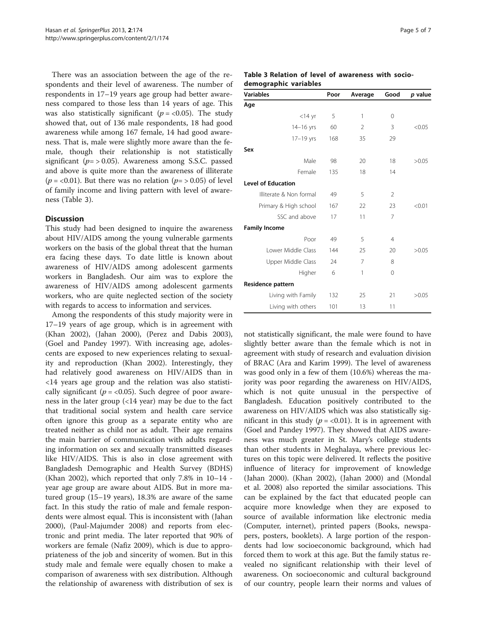There was an association between the age of the respondents and their level of awareness. The number of respondents in 17–19 years age group had better awareness compared to those less than 14 years of age. This was also statistically significant ( $p = < 0.05$ ). The study showed that, out of 136 male respondents, 18 had good awareness while among 167 female, 14 had good awareness. That is, male were slightly more aware than the female, though their relationship is not statistically significant ( $p = > 0.05$ ). Awareness among S.S.C. passed and above is quite more than the awareness of illiterate ( $p = < 0.01$ ). But there was no relation ( $p = > 0.05$ ) of level of family income and living pattern with level of awareness (Table 3).

#### Discussion

This study had been designed to inquire the awareness about HIV/AIDS among the young vulnerable garments workers on the basis of the global threat that the human era facing these days. To date little is known about awareness of HIV/AIDS among adolescent garments workers in Bangladesh. Our aim was to explore the awareness of HIV/AIDS among adolescent garments workers, who are quite neglected section of the society with regards to access to information and services.

Among the respondents of this study majority were in 17–19 years of age group, which is in agreement with (Khan [2002](#page-6-0)), (Jahan [2000](#page-6-0)), (Perez and Dabis [2003](#page-6-0)), (Goel and Pandey [1997](#page-6-0)). With increasing age, adolescents are exposed to new experiences relating to sexuality and reproduction (Khan [2002](#page-6-0)). Interestingly, they had relatively good awareness on HIV/AIDS than in <14 years age group and the relation was also statistically significant ( $p = < 0.05$ ). Such degree of poor awareness in the later group (<14 year) may be due to the fact that traditional social system and health care service often ignore this group as a separate entity who are treated neither as child nor as adult. Their age remains the main barrier of communication with adults regarding information on sex and sexually transmitted diseases like HIV/AIDS. This is also in close agreement with Bangladesh Demographic and Health Survey (BDHS) (Khan [2002](#page-6-0)), which reported that only 7.8% in 10–14 year age group are aware about AIDS. But in more matured group (15–19 years), 18.3% are aware of the same fact. In this study the ratio of male and female respondents were almost equal. This is inconsistent with (Jahan [2000](#page-6-0)), (Paul-Majumder [2008](#page-6-0)) and reports from electronic and print media. The later reported that 90% of workers are female (Nafiz [2009\)](#page-6-0), which is due to appropriateness of the job and sincerity of women. But in this study male and female were equally chosen to make a comparison of awareness with sex distribution. Although the relationship of awareness with distribution of sex is

#### Table 3 Relation of level of awareness with sociodemographic variables

| <b>Variables</b>          | Poor | Average | Good           | p value |
|---------------------------|------|---------|----------------|---------|
| Age                       |      |         |                |         |
| $<$ 14 yr                 | 5    | 1       | 0              |         |
| $14-16$ yrs               | 60   | 2       | 3              | < 0.05  |
| 17-19 yrs                 | 168  | 35      | 29             |         |
| Sex                       |      |         |                |         |
| Male                      | 98   | 20      | 18             | >0.05   |
| Female                    | 135  | 18      | 14             |         |
| <b>Level of Education</b> |      |         |                |         |
| Illiterate & Non formal   | 49   | 5       | $\mathcal{P}$  |         |
| Primary & High school     | 167  | 22      | 23             | < 0.01  |
| SSC and above             | 17   | 11      | 7              |         |
| <b>Family Income</b>      |      |         |                |         |
| Poor                      | 49   | 5       | $\overline{4}$ |         |
| Lower Middle Class        | 144  | 25      | 20             | >0.05   |
| Upper Middle Class        | 24   | 7       | 8              |         |
| Higher                    | 6    | 1       | $\Omega$       |         |
| Residence pattern         |      |         |                |         |
| Living with Family        | 132  | 25      | 21             | >0.05   |
| Living with others        | 101  | 13      | 11             |         |

not statistically significant, the male were found to have slightly better aware than the female which is not in agreement with study of research and evaluation division of BRAC (Ara and Karim [1999\)](#page-6-0). The level of awareness was good only in a few of them (10.6%) whereas the majority was poor regarding the awareness on HIV/AIDS, which is not quite unusual in the perspective of Bangladesh. Education positively contributed to the awareness on HIV/AIDS which was also statistically significant in this study ( $p = 0.01$ ). It is in agreement with (Goel and Pandey [1997\)](#page-6-0). They showed that AIDS awareness was much greater in St. Mary's college students than other students in Meghalaya, where previous lectures on this topic were delivered. It reflects the positive influence of literacy for improvement of knowledge (Jahan [2000](#page-6-0)). (Khan [2002\)](#page-6-0), (Jahan [2000\)](#page-6-0) and (Mondal et al. [2008\)](#page-6-0) also reported the similar associations. This can be explained by the fact that educated people can acquire more knowledge when they are exposed to source of available information like electronic media (Computer, internet), printed papers (Books, newspapers, posters, booklets). A large portion of the respondents had low socioeconomic background, which had forced them to work at this age. But the family status revealed no significant relationship with their level of awareness. On socioeconomic and cultural background of our country, people learn their norms and values of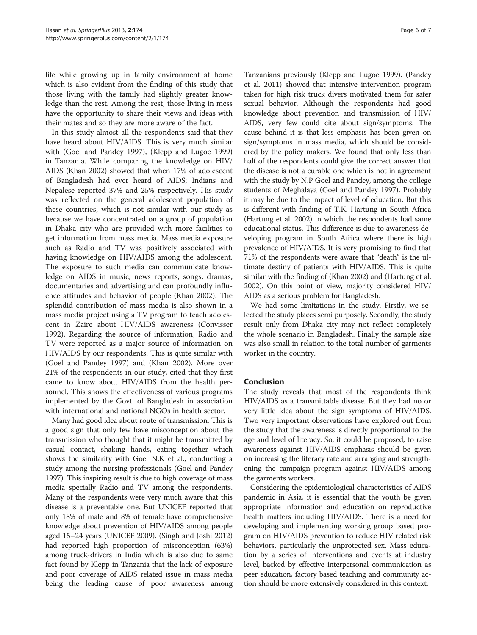life while growing up in family environment at home which is also evident from the finding of this study that those living with the family had slightly greater knowledge than the rest. Among the rest, those living in mess have the opportunity to share their views and ideas with their mates and so they are more aware of the fact.

In this study almost all the respondents said that they have heard about HIV/AIDS. This is very much similar with (Goel and Pandey [1997](#page-6-0)), (Klepp and Lugoe [1999](#page-6-0)) in Tanzania. While comparing the knowledge on HIV/ AIDS (Khan [2002](#page-6-0)) showed that when 17% of adolescent of Bangladesh had ever heard of AIDS; Indians and Nepalese reported 37% and 25% respectively. His study was reflected on the general adolescent population of these countries, which is not similar with our study as because we have concentrated on a group of population in Dhaka city who are provided with more facilities to get information from mass media. Mass media exposure such as Radio and TV was positively associated with having knowledge on HIV/AIDS among the adolescent. The exposure to such media can communicate knowledge on AIDS in music, news reports, songs, dramas, documentaries and advertising and can profoundly influence attitudes and behavior of people (Khan [2002](#page-6-0)). The splendid contribution of mass media is also shown in a mass media project using a TV program to teach adolescent in Zaire about HIV/AIDS awareness (Convisser [1992](#page-6-0)). Regarding the source of information, Radio and TV were reported as a major source of information on HIV/AIDS by our respondents. This is quite similar with (Goel and Pandey [1997\)](#page-6-0) and (Khan [2002](#page-6-0)). More over 21% of the respondents in our study, cited that they first came to know about HIV/AIDS from the health personnel. This shows the effectiveness of various programs implemented by the Govt. of Bangladesh in association with international and national NGOs in health sector.

Many had good idea about route of transmission. This is a good sign that only few have misconception about the transmission who thought that it might be transmitted by casual contact, shaking hands, eating together which shows the similarity with Goel N.K et al., conducting a study among the nursing professionals (Goel and Pandey [1997\)](#page-6-0). This inspiring result is due to high coverage of mass media specially Radio and TV among the respondents. Many of the respondents were very much aware that this disease is a preventable one. But UNICEF reported that only 18% of male and 8% of female have comprehensive knowledge about prevention of HIV/AIDS among people aged 15–24 years (UNICEF [2009](#page-6-0)). (Singh and Joshi [2012](#page-6-0)) had reported high proportion of misconception (63%) among truck-drivers in India which is also due to same fact found by Klepp in Tanzania that the lack of exposure and poor coverage of AIDS related issue in mass media being the leading cause of poor awareness among

Tanzanians previously (Klepp and Lugoe [1999](#page-6-0)). (Pandey et al. [2011](#page-6-0)) showed that intensive intervention program taken for high risk truck divers motivated them for safer sexual behavior. Although the respondents had good knowledge about prevention and transmission of HIV/ AIDS, very few could cite about sign/symptoms. The cause behind it is that less emphasis has been given on sign/symptoms in mass media, which should be considered by the policy makers. We found that only less than half of the respondents could give the correct answer that the disease is not a curable one which is not in agreement with the study by N.P Goel and Pandey, among the college students of Meghalaya (Goel and Pandey [1997\)](#page-6-0). Probably it may be due to the impact of level of education. But this is different with finding of T.K. Hartung in South Africa (Hartung et al. [2002\)](#page-6-0) in which the respondents had same educational status. This difference is due to awareness developing program in South Africa where there is high prevalence of HIV/AIDS. It is very promising to find that 71% of the respondents were aware that "death" is the ultimate destiny of patients with HIV/AIDS. This is quite similar with the finding of (Khan [2002](#page-6-0)) and (Hartung et al. [2002](#page-6-0)). On this point of view, majority considered HIV/ AIDS as a serious problem for Bangladesh.

We had some limitations in the study. Firstly, we selected the study places semi purposely. Secondly, the study result only from Dhaka city may not reflect completely the whole scenario in Bangladesh. Finally the sample size was also small in relation to the total number of garments worker in the country.

#### Conclusion

The study reveals that most of the respondents think HIV/AIDS as a transmittable disease. But they had no or very little idea about the sign symptoms of HIV/AIDS. Two very important observations have explored out from the study that the awareness is directly proportional to the age and level of literacy. So, it could be proposed, to raise awareness against HIV/AIDS emphasis should be given on increasing the literacy rate and arranging and strengthening the campaign program against HIV/AIDS among the garments workers.

Considering the epidemiological characteristics of AIDS pandemic in Asia, it is essential that the youth be given appropriate information and education on reproductive health matters including HIV/AIDS. There is a need for developing and implementing working group based program on HIV/AIDS prevention to reduce HIV related risk behaviors, particularly the unprotected sex. Mass education by a series of interventions and events at industry level, backed by effective interpersonal communication as peer education, factory based teaching and community action should be more extensively considered in this context.